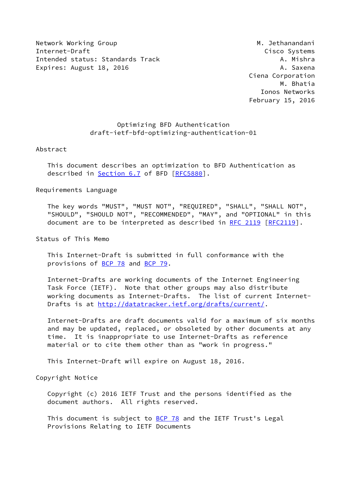Network Working Group Metwork Working Group Metwork Methods and Methods and Methods Methods and Metal Methods M Internet-Draft Cisco Systems Intended status: Standards Track A. Mishra Expires: August 18, 2016 **A. Saxena** 

 Ciena Corporation M. Bhatia Ionos Networks February 15, 2016

# Optimizing BFD Authentication draft-ietf-bfd-optimizing-authentication-01

## Abstract

 This document describes an optimization to BFD Authentication as described in **Section 6.7** of BFD [\[RFC5880](https://datatracker.ietf.org/doc/pdf/rfc5880)].

# Requirements Language

 The key words "MUST", "MUST NOT", "REQUIRED", "SHALL", "SHALL NOT", "SHOULD", "SHOULD NOT", "RECOMMENDED", "MAY", and "OPTIONAL" in this document are to be interpreted as described in [RFC 2119 \[RFC2119](https://datatracker.ietf.org/doc/pdf/rfc2119)].

Status of This Memo

 This Internet-Draft is submitted in full conformance with the provisions of [BCP 78](https://datatracker.ietf.org/doc/pdf/bcp78) and [BCP 79](https://datatracker.ietf.org/doc/pdf/bcp79).

 Internet-Drafts are working documents of the Internet Engineering Task Force (IETF). Note that other groups may also distribute working documents as Internet-Drafts. The list of current Internet Drafts is at<http://datatracker.ietf.org/drafts/current/>.

 Internet-Drafts are draft documents valid for a maximum of six months and may be updated, replaced, or obsoleted by other documents at any time. It is inappropriate to use Internet-Drafts as reference material or to cite them other than as "work in progress."

This Internet-Draft will expire on August 18, 2016.

Copyright Notice

 Copyright (c) 2016 IETF Trust and the persons identified as the document authors. All rights reserved.

This document is subject to **[BCP 78](https://datatracker.ietf.org/doc/pdf/bcp78)** and the IETF Trust's Legal Provisions Relating to IETF Documents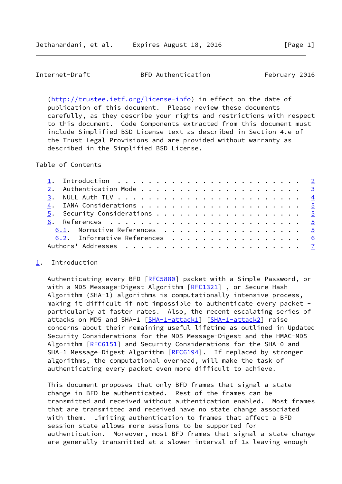<span id="page-1-1"></span>Internet-Draft BFD Authentication February 2016

 [\(http://trustee.ietf.org/license-info](http://trustee.ietf.org/license-info)) in effect on the date of publication of this document. Please review these documents carefully, as they describe your rights and restrictions with respect to this document. Code Components extracted from this document must include Simplified BSD License text as described in Section 4.e of the Trust Legal Provisions and are provided without warranty as described in the Simplified BSD License.

Table of Contents

|  | 6.1. Normative References 5   |  |
|--|-------------------------------|--|
|  | 6.2. Informative References 6 |  |
|  |                               |  |
|  |                               |  |

### <span id="page-1-0"></span>[1](#page-1-0). Introduction

Authenticating every BFD [\[RFC5880](https://datatracker.ietf.org/doc/pdf/rfc5880)] packet with a Simple Password, or with a MD5 Message-Digest Algorithm [\[RFC1321](https://datatracker.ietf.org/doc/pdf/rfc1321)], or Secure Hash Algorithm (SHA-1) algorithms is computationally intensive process, making it difficult if not impossible to authenticate every packet particularly at faster rates. Also, the recent escalating series of attacks on MD5 and SHA-1 [\[SHA-1-attack1\]](#page-7-0) [\[SHA-1-attack2\]](#page-7-1) raise concerns about their remaining useful lifetime as outlined in Updated Security Considerations for the MD5 Message-Digest and the HMAC-MD5 Algorithm [[RFC6151](https://datatracker.ietf.org/doc/pdf/rfc6151)] and Security Considerations for the SHA-0 and SHA-1 Message-Digest Algorithm [\[RFC6194](https://datatracker.ietf.org/doc/pdf/rfc6194)]. If replaced by stronger algorithms, the computational overhead, will make the task of authenticating every packet even more difficult to achieve.

 This document proposes that only BFD frames that signal a state change in BFD be authenticated. Rest of the frames can be transmitted and received without authentication enabled. Most frames that are transmitted and received have no state change associated with them. Limiting authentication to frames that affect a BFD session state allows more sessions to be supported for authentication. Moreover, most BFD frames that signal a state change are generally transmitted at a slower interval of 1s leaving enough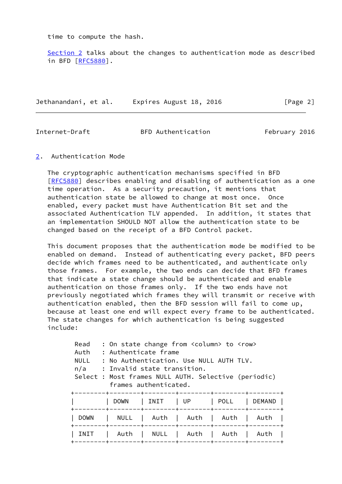time to compute the hash.

 [Section 2](#page-2-0) talks about the changes to authentication mode as described in BFD [\[RFC5880](https://datatracker.ietf.org/doc/pdf/rfc5880)].

Jethanandani, et al. Expires August 18, 2016 [Page 2]

<span id="page-2-1"></span>

Internet-Draft BFD Authentication February 2016

<span id="page-2-0"></span>[2](#page-2-0). Authentication Mode

 The cryptographic authentication mechanisms specified in BFD [\[RFC5880](https://datatracker.ietf.org/doc/pdf/rfc5880)] describes enabling and disabling of authentication as a one time operation. As a security precaution, it mentions that authentication state be allowed to change at most once. Once enabled, every packet must have Authentication Bit set and the associated Authentication TLV appended. In addition, it states that an implementation SHOULD NOT allow the authentication state to be changed based on the receipt of a BFD Control packet.

 This document proposes that the authentication mode be modified to be enabled on demand. Instead of authenticating every packet, BFD peers decide which frames need to be authenticated, and authenticate only those frames. For example, the two ends can decide that BFD frames that indicate a state change should be authenticated and enable authentication on those frames only. If the two ends have not previously negotiated which frames they will transmit or receive with authentication enabled, then the BFD session will fail to come up, because at least one end will expect every frame to be authenticated. The state changes for which authentication is being suggested include:

| Read<br>Auth<br><b>NULL</b><br>n/a | : On state change from <column> to <row><br/>: Authenticate frame<br/>: No Authentication, Use NULL AUTH TLV.<br/>: Invalid state transition.<br/>Select : Most frames NULL AUTH. Selective (periodic)</row></column> | frames authenticated.                        |      |                                            |        |
|------------------------------------|-----------------------------------------------------------------------------------------------------------------------------------------------------------------------------------------------------------------------|----------------------------------------------|------|--------------------------------------------|--------|
|                                    | <b>DOWN</b>                                                                                                                                                                                                           | INIT                                         | l UP | POLL                                       | DEMAND |
| <b>DOWN</b>                        | $------+-$<br>NULL                                                                                                                                                                                                    | Auth  <br>------+--------+---------+-------  | Auth | --------+--------+---------+------<br>Auth | Auth   |
| INIT                               | Auth                                                                                                                                                                                                                  | NULL<br>-------+--------+--------+-------+-- | Auth | Auth                                       | Auth   |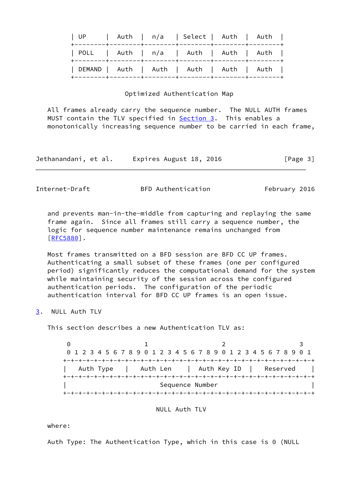| UP   Auth   n/a   Select   Auth   Auth    |  |  |  |
|-------------------------------------------|--|--|--|
| POLL   Auth   n/a   Auth   Auth   Auth    |  |  |  |
| DEMAND   Auth   Auth   Auth   Auth   Auth |  |  |  |

#### Optimized Authentication Map

 All frames already carry the sequence number. The NULL AUTH frames MUST contain the TLV specified in **Section 3.** This enables a monotonically increasing sequence number to be carried in each frame,

| Jethanandani, et al. | Expires August 18, 2016 | [Page 3] |
|----------------------|-------------------------|----------|
|----------------------|-------------------------|----------|

<span id="page-3-1"></span>Internet-Draft BFD Authentication February 2016

 and prevents man-in-the-middle from capturing and replaying the same frame again. Since all frames still carry a sequence number, the logic for sequence number maintenance remains unchanged from [\[RFC5880](https://datatracker.ietf.org/doc/pdf/rfc5880)].

 Most frames transmitted on a BFD session are BFD CC UP frames. Authenticating a small subset of these frames (one per configured period) significantly reduces the computational demand for the system while maintaining security of the session across the configured authentication periods. The configuration of the periodic authentication interval for BFD CC UP frames is an open issue.

<span id="page-3-0"></span>[3](#page-3-0). NULL Auth TLV

This section describes a new Authentication TLV as:

 $0$  1 2 3 0 1 2 3 4 5 6 7 8 9 0 1 2 3 4 5 6 7 8 9 0 1 2 3 4 5 6 7 8 9 0 1 +-+-+-+-+-+-+-+-+-+-+-+-+-+-+-+-+-+-+-+-+-+-+-+-+-+-+-+-+-+-+-+-+ Auth Type | Auth Len | Auth Key ID | Reserved +-+-+-+-+-+-+-+-+-+-+-+-+-+-+-+-+-+-+-+-+-+-+-+-+-+-+-+-+-+-+-+-+ | Sequence Number | +-+-+-+-+-+-+-+-+-+-+-+-+-+-+-+-+-+-+-+-+-+-+-+-+-+-+-+-+-+-+-+-+

NULL Auth TLV

where:

Auth Type: The Authentication Type, which in this case is 0 (NULL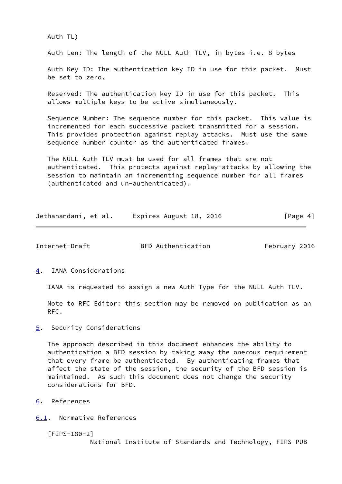Auth TL)

Auth Len: The length of the NULL Auth TLV, in bytes i.e. 8 bytes

 Auth Key ID: The authentication key ID in use for this packet. Must be set to zero.

 Reserved: The authentication key ID in use for this packet. This allows multiple keys to be active simultaneously.

 Sequence Number: The sequence number for this packet. This value is incremented for each successive packet transmitted for a session. This provides protection against replay attacks. Must use the same sequence number counter as the authenticated frames.

 The NULL Auth TLV must be used for all frames that are not authenticated. This protects against replay-attacks by allowing the session to maintain an incrementing sequence number for all frames (authenticated and un-authenticated).

|  | Jethanandani, et al. | Expires August 18, 2016 | [Page 4] |
|--|----------------------|-------------------------|----------|
|--|----------------------|-------------------------|----------|

<span id="page-4-1"></span>Internet-Draft BFD Authentication February 2016

<span id="page-4-0"></span>[4](#page-4-0). IANA Considerations

IANA is requested to assign a new Auth Type for the NULL Auth TLV.

 Note to RFC Editor: this section may be removed on publication as an RFC.

<span id="page-4-2"></span>[5](#page-4-2). Security Considerations

 The approach described in this document enhances the ability to authentication a BFD session by taking away the onerous requirement that every frame be authenticated. By authenticating frames that affect the state of the session, the security of the BFD session is maintained. As such this document does not change the security considerations for BFD.

<span id="page-4-3"></span>[6](#page-4-3). References

<span id="page-4-4"></span>[6.1](#page-4-4). Normative References

[FIPS-180-2]

National Institute of Standards and Technology, FIPS PUB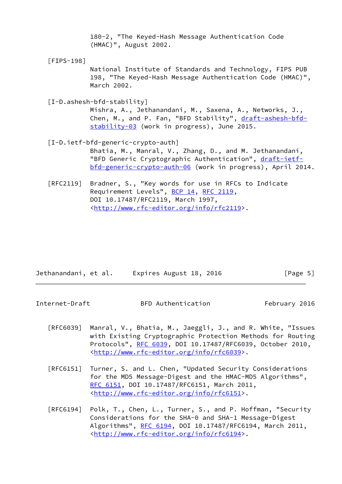180-2, "The Keyed-Hash Message Authentication Code (HMAC)", August 2002.

[FIPS-198]

 National Institute of Standards and Technology, FIPS PUB 198, "The Keyed-Hash Message Authentication Code (HMAC)", March 2002.

[I-D.ashesh-bfd-stability]

 Mishra, A., Jethanandani, M., Saxena, A., Networks, J., Chen, M., and P. Fan, "BFD Stability", [draft-ashesh-bfd](https://datatracker.ietf.org/doc/pdf/draft-ashesh-bfd-stability-03) [stability-03](https://datatracker.ietf.org/doc/pdf/draft-ashesh-bfd-stability-03) (work in progress), June 2015.

- [I-D.ietf-bfd-generic-crypto-auth] Bhatia, M., Manral, V., Zhang, D., and M. Jethanandani, "BFD Generic Cryptographic Authentication", [draft-ietf](https://datatracker.ietf.org/doc/pdf/draft-ietf-bfd-generic-crypto-auth-06) [bfd-generic-crypto-auth-06](https://datatracker.ietf.org/doc/pdf/draft-ietf-bfd-generic-crypto-auth-06) (work in progress), April 2014.
- [RFC2119] Bradner, S., "Key words for use in RFCs to Indicate Requirement Levels", [BCP 14](https://datatracker.ietf.org/doc/pdf/bcp14), [RFC 2119](https://datatracker.ietf.org/doc/pdf/rfc2119), DOI 10.17487/RFC2119, March 1997, <<http://www.rfc-editor.org/info/rfc2119>>.

| Jethanandani, et al. | Expires August 18, 2016 | [Page 5] |
|----------------------|-------------------------|----------|
|                      |                         |          |

<span id="page-5-0"></span>Internet-Draft BFD Authentication February 2016

- [RFC6039] Manral, V., Bhatia, M., Jaeggli, J., and R. White, "Issues with Existing Cryptographic Protection Methods for Routing Protocols", [RFC 6039,](https://datatracker.ietf.org/doc/pdf/rfc6039) DOI 10.17487/RFC6039, October 2010, <<http://www.rfc-editor.org/info/rfc6039>>.
- [RFC6151] Turner, S. and L. Chen, "Updated Security Considerations for the MD5 Message-Digest and the HMAC-MD5 Algorithms", [RFC 6151,](https://datatracker.ietf.org/doc/pdf/rfc6151) DOI 10.17487/RFC6151, March 2011, <<http://www.rfc-editor.org/info/rfc6151>>.
- [RFC6194] Polk, T., Chen, L., Turner, S., and P. Hoffman, "Security Considerations for the SHA-0 and SHA-1 Message-Digest Algorithms", [RFC 6194](https://datatracker.ietf.org/doc/pdf/rfc6194), DOI 10.17487/RFC6194, March 2011, <<http://www.rfc-editor.org/info/rfc6194>>.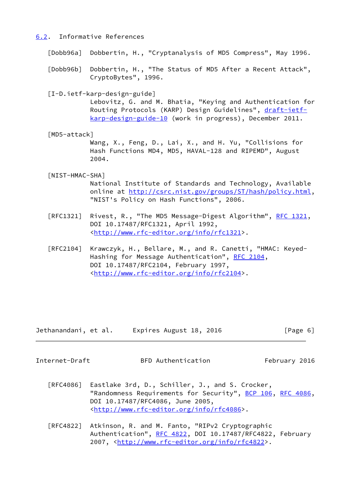# <span id="page-6-0"></span>[6.2](#page-6-0). Informative References

[Dobb96a] Dobbertin, H., "Cryptanalysis of MD5 Compress", May 1996.

- [Dobb96b] Dobbertin, H., "The Status of MD5 After a Recent Attack", CryptoBytes", 1996.
- [I-D.ietf-karp-design-guide]

 Lebovitz, G. and M. Bhatia, "Keying and Authentication for Routing Protocols (KARP) Design Guidelines", [draft-ietf](https://datatracker.ietf.org/doc/pdf/draft-ietf-karp-design-guide-10) [karp-design-guide-10](https://datatracker.ietf.org/doc/pdf/draft-ietf-karp-design-guide-10) (work in progress), December 2011.

[MD5-attack]

 Wang, X., Feng, D., Lai, X., and H. Yu, "Collisions for Hash Functions MD4, MD5, HAVAL-128 and RIPEMD", August 2004.

# [NIST-HMAC-SHA]

 National Institute of Standards and Technology, Available online at<http://csrc.nist.gov/groups/ST/hash/policy.html>, "NIST's Policy on Hash Functions", 2006.

- [RFC1321] Rivest, R., "The MD5 Message-Digest Algorithm", [RFC 1321,](https://datatracker.ietf.org/doc/pdf/rfc1321) DOI 10.17487/RFC1321, April 1992, <<http://www.rfc-editor.org/info/rfc1321>>.
- [RFC2104] Krawczyk, H., Bellare, M., and R. Canetti, "HMAC: Keyed- Hashing for Message Authentication", [RFC 2104](https://datatracker.ietf.org/doc/pdf/rfc2104), DOI 10.17487/RFC2104, February 1997, <<http://www.rfc-editor.org/info/rfc2104>>.

| Jethanandani, et al. | Expires August 18, 2016 | [Page 6] |
|----------------------|-------------------------|----------|
|----------------------|-------------------------|----------|

<span id="page-6-1"></span>

Internet-Draft BFD Authentication February 2016

- [RFC4086] Eastlake 3rd, D., Schiller, J., and S. Crocker, "Randomness Requirements for Security", [BCP 106](https://datatracker.ietf.org/doc/pdf/bcp106), [RFC 4086,](https://datatracker.ietf.org/doc/pdf/rfc4086) DOI 10.17487/RFC4086, June 2005, <<http://www.rfc-editor.org/info/rfc4086>>.
- [RFC4822] Atkinson, R. and M. Fanto, "RIPv2 Cryptographic Authentication", [RFC 4822,](https://datatracker.ietf.org/doc/pdf/rfc4822) DOI 10.17487/RFC4822, February 2007, [<http://www.rfc-editor.org/info/rfc4822](http://www.rfc-editor.org/info/rfc4822)>.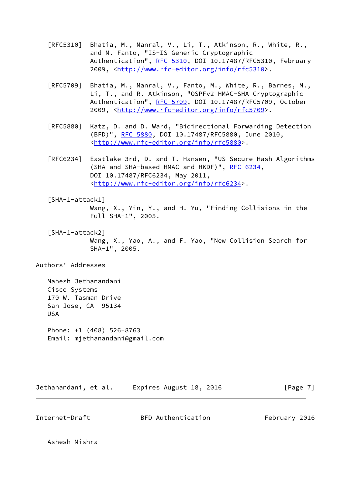- [RFC5310] Bhatia, M., Manral, V., Li, T., Atkinson, R., White, R., and M. Fanto, "IS-IS Generic Cryptographic Authentication", [RFC 5310,](https://datatracker.ietf.org/doc/pdf/rfc5310) DOI 10.17487/RFC5310, February 2009, [<http://www.rfc-editor.org/info/rfc5310](http://www.rfc-editor.org/info/rfc5310)>.
- [RFC5709] Bhatia, M., Manral, V., Fanto, M., White, R., Barnes, M., Li, T., and R. Atkinson, "OSPFv2 HMAC-SHA Cryptographic Authentication", [RFC 5709,](https://datatracker.ietf.org/doc/pdf/rfc5709) DOI 10.17487/RFC5709, October 2009, [<http://www.rfc-editor.org/info/rfc5709](http://www.rfc-editor.org/info/rfc5709)>.
- [RFC5880] Katz, D. and D. Ward, "Bidirectional Forwarding Detection (BFD)", [RFC 5880,](https://datatracker.ietf.org/doc/pdf/rfc5880) DOI 10.17487/RFC5880, June 2010, <<http://www.rfc-editor.org/info/rfc5880>>.
- [RFC6234] Eastlake 3rd, D. and T. Hansen, "US Secure Hash Algorithms (SHA and SHA-based HMAC and HKDF)", [RFC 6234,](https://datatracker.ietf.org/doc/pdf/rfc6234) DOI 10.17487/RFC6234, May 2011, <<http://www.rfc-editor.org/info/rfc6234>>.
- <span id="page-7-0"></span> [SHA-1-attack1] Wang, X., Yin, Y., and H. Yu, "Finding Collisions in the Full SHA-1", 2005.
- <span id="page-7-1"></span> [SHA-1-attack2] Wang, X., Yao, A., and F. Yao, "New Collision Search for SHA-1", 2005.

Authors' Addresses

 Mahesh Jethanandani Cisco Systems 170 W. Tasman Drive San Jose, CA 95134 USA

 Phone: +1 (408) 526-8763 Email: mjethanandani@gmail.com

Jethanandani, et al. Expires August 18, 2016 [Page 7]

Internet-Draft BFD Authentication February 2016

Ashesh Mishra